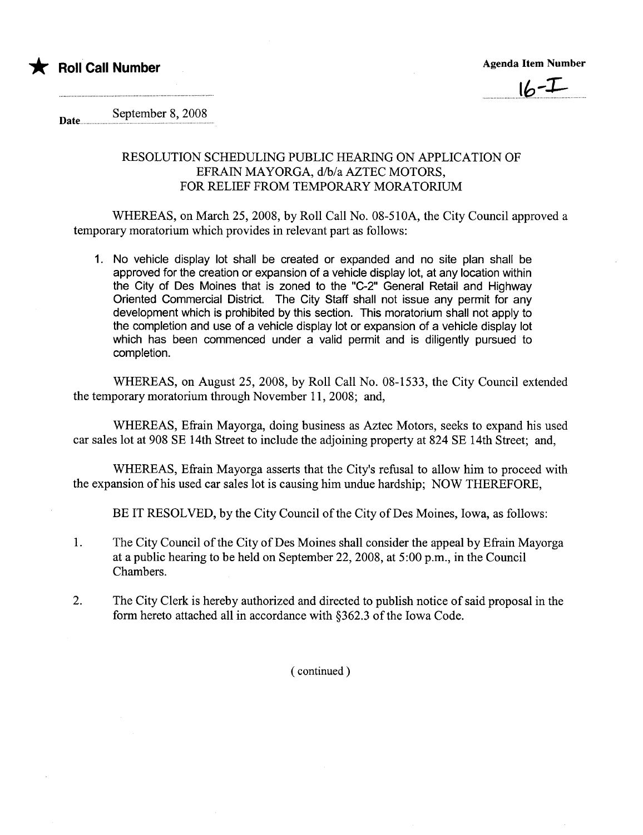



September 8, 2008 Date...

## RESOLUTION SCHEDULING PUBLIC HEARING ON APPLICATION OF EFRAIN MAYORGA, d/b/a AZTEC MOTORS, FOR RELIEF FROM TEMPORARY MORATORIUM

WHEREAS, on March 25, 2008, by Roll Call No. 08-510A, the City Council approved a temporary moratorium which provides in relevant part as follows:

1. No vehicle display lot shall be created or expanded and no site plan shall be approved for the creation or expansion of a vehicle display lot, at any location within the City of Des Moines that is zoned to the "C-2" General Retail and Highway Oriented Commercial District. The City Staff shall not issue any permit for any development which is prohibited by this section. This moratorium shall not apply to the completion and use of a vehicle display lot or expansion of a vehicle display lot which has been commenced under a valid permit and is diligently pursued to completion.

WHEREAS, on August 25, 2008, by Roll Call No. 08-1533, the City Council extended the temporary moratorium through November 11, 2008; and,

WHEREAS, Efrain Mayorga, doing business as Aztec Motors, seeks to expand his used car sales lot at 908 SE 14th Street to include the adjoining property at 824 SE 14th Street; and,

WHEREAS, Efrain Mayorga asserts that the City's refusal to allow him to proceed with the expansion of his used car sales lot is causing him undue hardship; NOW THEREFORE,

BE IT RESOLVED, by the City Council of the City of Des Moines, Iowa, as follows:

- 1. The City Council of the City of Des Moines shall consider the appeal by Efrain Mayorga at a public hearing to be held on September 22,2008, at 5:00 p.m., in the Council Chambers.
- 2. The City Clerk is hereby authorized and directed to publish notice of said proposal in the form hereto attached all in accordance with §362.3 of the Iowa Code.

( continued)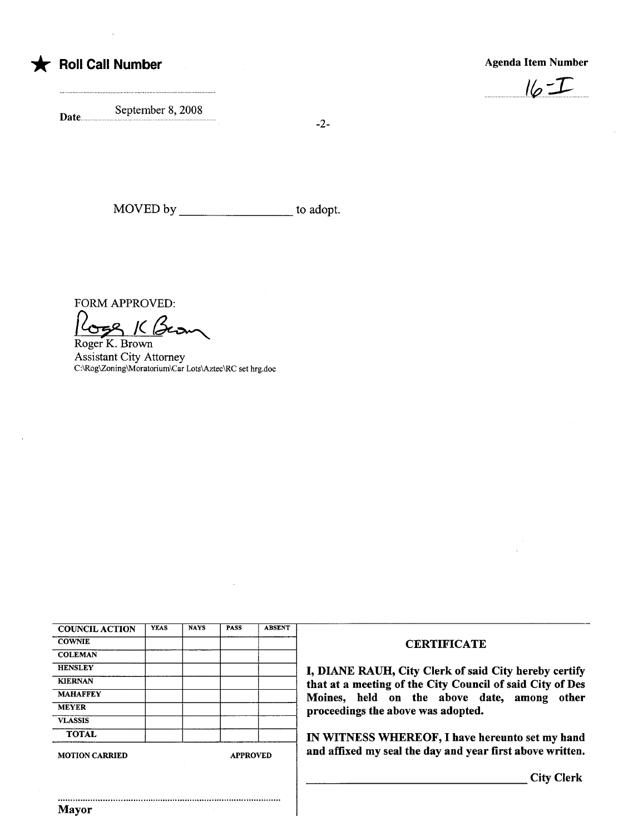

## \* Roll Call Number Agenda Item Number Agenda Item Number



Date... September 8, 2008

-2-

MOVED by to adopt.

FORM APPROVED:

FORM APPROVED:<br>Coge K. Brown

Assistant City Attorney C:\Rog\Zoning\Moratorium\Car Lots\Aztec\RC set hrg.doc

| <b>COUNCIL ACTION</b> | <b>YEAS</b> | <b>NAYS</b>     | <b>PASS</b> | <b>ABSENT</b> |
|-----------------------|-------------|-----------------|-------------|---------------|
| <b>COWNIE</b>         |             |                 |             |               |
| <b>COLEMAN</b>        |             |                 |             |               |
| <b>HENSLEY</b>        |             |                 |             |               |
| <b>KIERNAN</b>        |             |                 |             |               |
| <b>MAHAFFEY</b>       |             |                 |             |               |
| <b>MEYER</b>          |             |                 |             |               |
| <b>VLASSIS</b>        |             |                 |             |               |
| <b>TOTAL</b>          |             |                 |             |               |
| <b>MOTION CARRIED</b> |             | <b>APPROVED</b> |             |               |

..........................................................................................

## **CERTIFICATE**

DIANE RAUH, City Clerk of said City hereby certify at at a meeting of the City Council of said City of Des Ioines, held on the above date, among other roceedings the above was adopted.

N WITNESS WHEREOF, I have hereunto set my hand nd affixed my seal the day and year first above written.

City Clerk